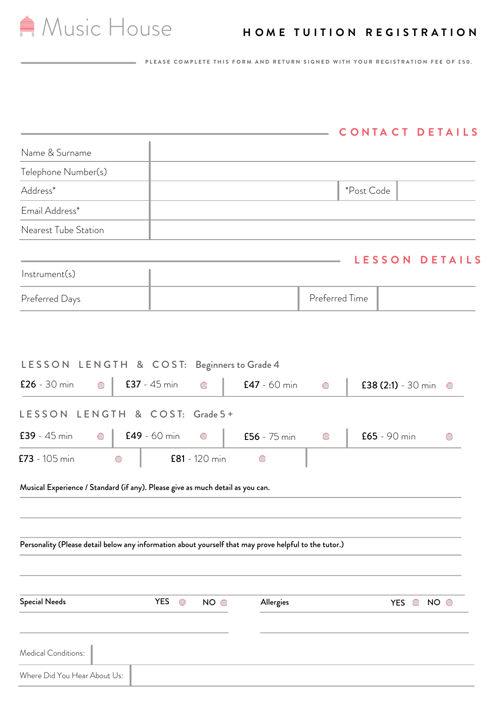# **A** Music House **HOME TUITION REGISTRATION**

P LEASE COMPLETE THIS FORM AND RETURN SIGNED WITH YOUR REGISTRATION FEE OF £50.

## **CONTACT DETAILS**

| Name & Surname                                                                                        |  |                          |                 |                |                |            |                          |                 |
|-------------------------------------------------------------------------------------------------------|--|--------------------------|-----------------|----------------|----------------|------------|--------------------------|-----------------|
| Telephone Number(s)                                                                                   |  |                          |                 |                |                |            |                          |                 |
| Address*                                                                                              |  |                          |                 |                |                | *Post Code |                          |                 |
| Email Address*                                                                                        |  |                          |                 |                |                |            |                          |                 |
| Nearest Tube Station                                                                                  |  |                          |                 |                |                |            |                          |                 |
|                                                                                                       |  |                          |                 |                |                |            |                          |                 |
| Instrument(s)                                                                                         |  |                          |                 |                |                |            | LESSON                   | <b>DETAILS</b>  |
| Preferred Days                                                                                        |  |                          |                 |                | Preferred Time |            |                          |                 |
|                                                                                                       |  |                          |                 |                |                |            |                          |                 |
| LESSON LENGTH & COST: Beginners to Grade 4                                                            |  |                          |                 |                |                |            |                          |                 |
| $£26 - 30 min$<br>$\bigcirc$                                                                          |  | $£37 - 45 min$           | $\bigcirc$      | $E47 - 60$ min | $\bigcirc$     |            | £38 $(2:1) - 30$ min     | $\bigcirc$      |
| LESSON LENGTH & COST: Grade 5+                                                                        |  |                          |                 |                |                |            |                          |                 |
| $£39 - 45 min$<br>$\bigcirc$                                                                          |  | $E49 - 60$ min           | $\bigcirc$      | $£56 - 75$ min | $\bigcirc$     |            | $£65 - 90 min$           | $(\ )$          |
| $E73 - 105$ min<br>$\bigcirc$                                                                         |  |                          | $E81 - 120$ min | $\bigcirc$     |                |            |                          |                 |
| Musical Experience / Standard (if any). Please give as much detail as you can.                        |  |                          |                 |                |                |            |                          |                 |
|                                                                                                       |  |                          |                 |                |                |            |                          |                 |
| Personality (Please detail below any information about yourself that may prove helpful to the tutor.) |  |                          |                 |                |                |            |                          |                 |
|                                                                                                       |  |                          |                 |                |                |            |                          |                 |
|                                                                                                       |  |                          |                 |                |                |            |                          |                 |
| <b>Special Needs</b>                                                                                  |  | <b>YES</b><br>$\bigcirc$ | NO O            | Allergies      |                |            | <b>YES</b><br>$\bigcirc$ | NO <sub>o</sub> |
|                                                                                                       |  |                          |                 |                |                |            |                          |                 |
| Medical Conditions:                                                                                   |  |                          |                 |                |                |            |                          |                 |
| Where Did You Hear About Us:                                                                          |  |                          |                 |                |                |            |                          |                 |